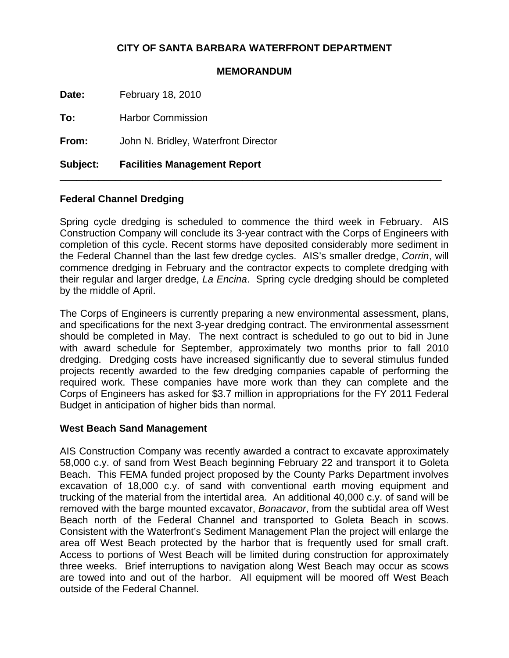## **CITY OF SANTA BARBARA WATERFRONT DEPARTMENT**

#### **MEMORANDUM**

**Date:** February 18, 2010

**To:** Harbor Commission

**From:** John N. Bridley, Waterfront Director

**Subject: Facilities Management Report**

## **Federal Channel Dredging**

Spring cycle dredging is scheduled to commence the third week in February. AIS Construction Company will conclude its 3-year contract with the Corps of Engineers with completion of this cycle. Recent storms have deposited considerably more sediment in the Federal Channel than the last few dredge cycles. AIS's smaller dredge, *Corrin*, will commence dredging in February and the contractor expects to complete dredging with their regular and larger dredge, *La Encina*. Spring cycle dredging should be completed by the middle of April.

\_\_\_\_\_\_\_\_\_\_\_\_\_\_\_\_\_\_\_\_\_\_\_\_\_\_\_\_\_\_\_\_\_\_\_\_\_\_\_\_\_\_\_\_\_\_\_\_\_\_\_\_\_\_\_\_\_\_\_\_\_\_\_\_\_\_\_\_\_

The Corps of Engineers is currently preparing a new environmental assessment, plans, and specifications for the next 3-year dredging contract. The environmental assessment should be completed in May. The next contract is scheduled to go out to bid in June with award schedule for September, approximately two months prior to fall 2010 dredging. Dredging costs have increased significantly due to several stimulus funded projects recently awarded to the few dredging companies capable of performing the required work. These companies have more work than they can complete and the Corps of Engineers has asked for \$3.7 million in appropriations for the FY 2011 Federal Budget in anticipation of higher bids than normal.

### **West Beach Sand Management**

AIS Construction Company was recently awarded a contract to excavate approximately 58,000 c.y. of sand from West Beach beginning February 22 and transport it to Goleta Beach. This FEMA funded project proposed by the County Parks Department involves excavation of 18,000 c.y. of sand with conventional earth moving equipment and trucking of the material from the intertidal area. An additional 40,000 c.y. of sand will be removed with the barge mounted excavator, *Bonacavor*, from the subtidal area off West Beach north of the Federal Channel and transported to Goleta Beach in scows. Consistent with the Waterfront's Sediment Management Plan the project will enlarge the area off West Beach protected by the harbor that is frequently used for small craft. Access to portions of West Beach will be limited during construction for approximately three weeks. Brief interruptions to navigation along West Beach may occur as scows are towed into and out of the harbor. All equipment will be moored off West Beach outside of the Federal Channel.